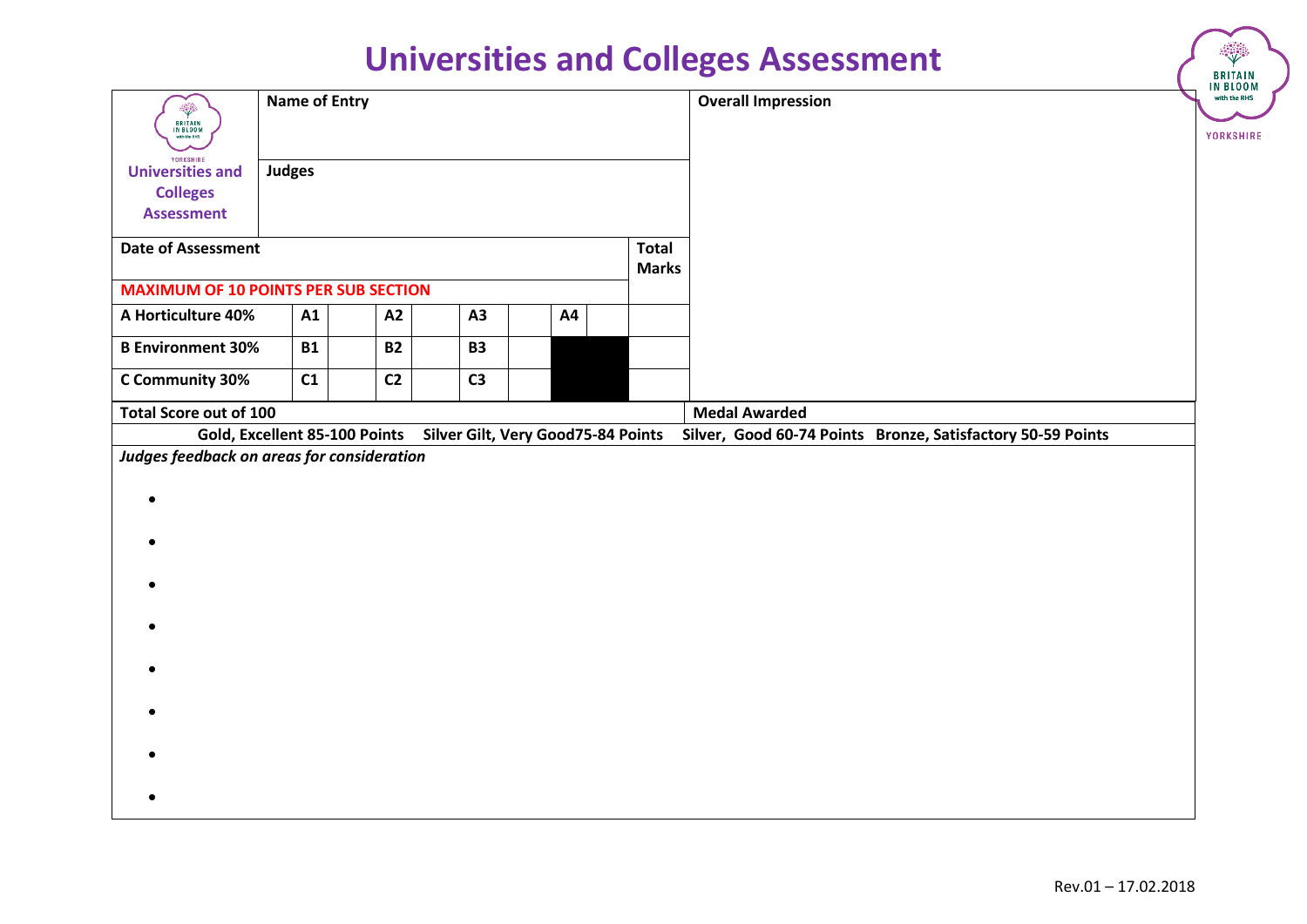| <b>Universities and Colleges Assessment</b>                                  |                      |  |                |                                    |                |  | ◈<br><b>BRITAIN</b><br>IN BLOOM |                              |                                                             |                                  |
|------------------------------------------------------------------------------|----------------------|--|----------------|------------------------------------|----------------|--|---------------------------------|------------------------------|-------------------------------------------------------------|----------------------------------|
| ÷<br><b>BRITAIN</b><br>IN BLOOM<br>with the RHS                              | <b>Name of Entry</b> |  |                |                                    |                |  |                                 |                              | <b>Overall Impression</b>                                   | with the RHS<br><b>YORKSHIRE</b> |
| YORKSHIRE<br><b>Universities and</b><br><b>Colleges</b><br><b>Assessment</b> | <b>Judges</b>        |  |                |                                    |                |  |                                 |                              |                                                             |                                  |
| <b>Date of Assessment</b>                                                    |                      |  |                |                                    |                |  |                                 | <b>Total</b><br><b>Marks</b> |                                                             |                                  |
| <b>MAXIMUM OF 10 POINTS PER SUB SECTION</b>                                  |                      |  |                |                                    |                |  |                                 |                              |                                                             |                                  |
| A Horticulture 40%                                                           | A1                   |  | A2             |                                    | A3             |  | A4                              |                              |                                                             |                                  |
| <b>B Environment 30%</b>                                                     | <b>B1</b>            |  | <b>B2</b>      |                                    | <b>B3</b>      |  |                                 |                              |                                                             |                                  |
| C Community 30%                                                              | C1                   |  | C <sub>2</sub> |                                    | C <sub>3</sub> |  |                                 |                              |                                                             |                                  |
| Total Score out of 100                                                       |                      |  |                |                                    |                |  |                                 |                              | <b>Medal Awarded</b>                                        |                                  |
| Gold, Excellent 85-100 Points                                                |                      |  |                | Silver Gilt, Very Good75-84 Points |                |  |                                 |                              | Silver, Good 60-74 Points Bronze, Satisfactory 50-59 Points |                                  |
| Judges feedback on areas for consideration                                   |                      |  |                |                                    |                |  |                                 |                              |                                                             |                                  |
|                                                                              |                      |  |                |                                    |                |  |                                 |                              |                                                             |                                  |
|                                                                              |                      |  |                |                                    |                |  |                                 |                              |                                                             |                                  |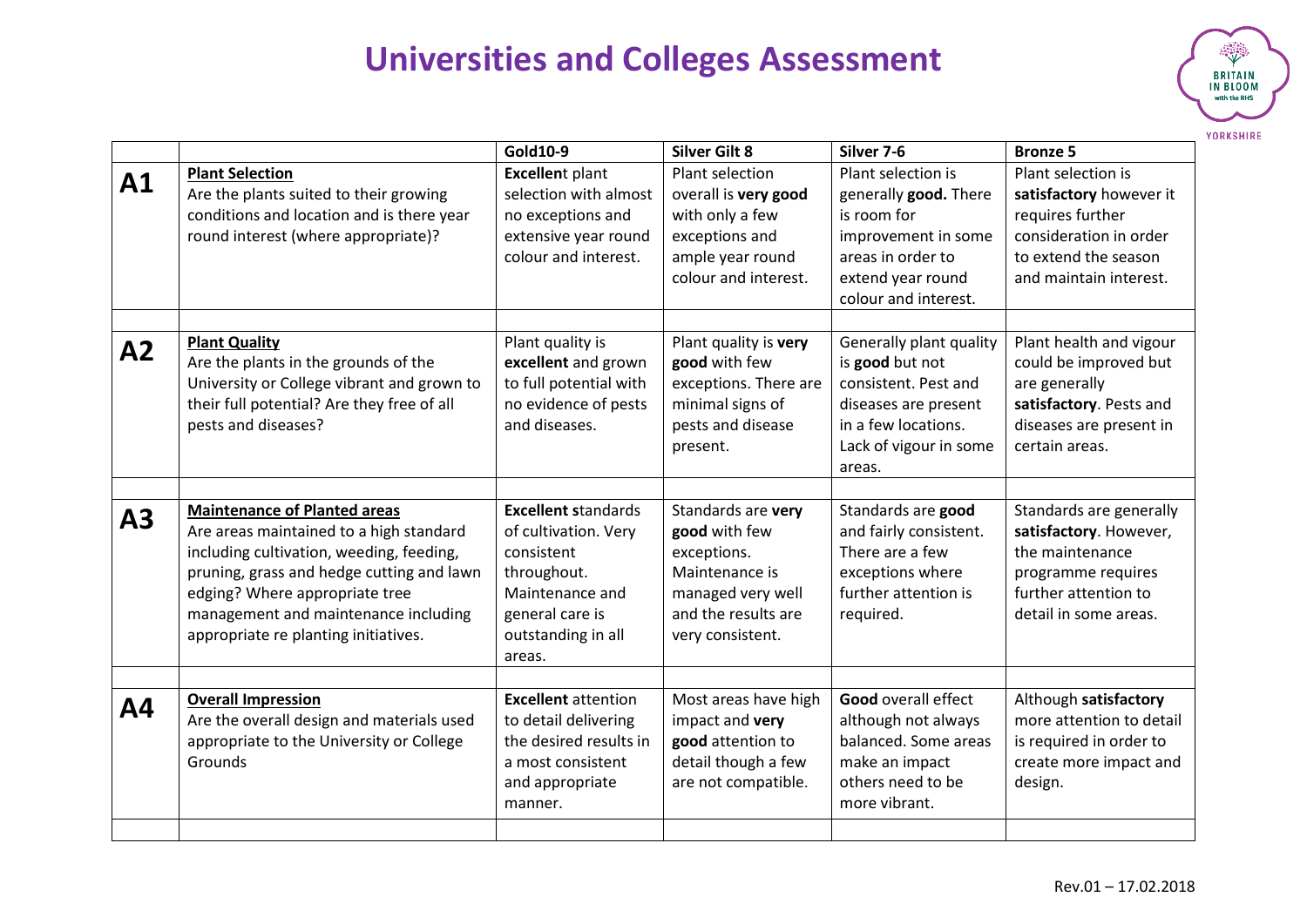

|    |                                                                                                                                                                                                                                                                                           | Gold10-9                                                                                                                                              | <b>Silver Gilt 8</b>                                                                                                                 | Silver 7-6                                                                                                                                            | <b>Bronze 5</b>                                                                                                                               |
|----|-------------------------------------------------------------------------------------------------------------------------------------------------------------------------------------------------------------------------------------------------------------------------------------------|-------------------------------------------------------------------------------------------------------------------------------------------------------|--------------------------------------------------------------------------------------------------------------------------------------|-------------------------------------------------------------------------------------------------------------------------------------------------------|-----------------------------------------------------------------------------------------------------------------------------------------------|
| A1 | <b>Plant Selection</b><br>Are the plants suited to their growing<br>conditions and location and is there year<br>round interest (where appropriate)?                                                                                                                                      | <b>Excellent plant</b><br>selection with almost<br>no exceptions and<br>extensive year round<br>colour and interest.                                  | <b>Plant selection</b><br>overall is very good<br>with only a few<br>exceptions and<br>ample year round<br>colour and interest.      | Plant selection is<br>generally good. There<br>is room for<br>improvement in some<br>areas in order to<br>extend year round<br>colour and interest.   | Plant selection is<br>satisfactory however it<br>requires further<br>consideration in order<br>to extend the season<br>and maintain interest. |
| A2 | <b>Plant Quality</b><br>Are the plants in the grounds of the<br>University or College vibrant and grown to<br>their full potential? Are they free of all<br>pests and diseases?                                                                                                           | Plant quality is<br>excellent and grown<br>to full potential with<br>no evidence of pests<br>and diseases.                                            | Plant quality is very<br>good with few<br>exceptions. There are<br>minimal signs of<br>pests and disease<br>present.                 | Generally plant quality<br>is good but not<br>consistent. Pest and<br>diseases are present<br>in a few locations.<br>Lack of vigour in some<br>areas. | Plant health and vigour<br>could be improved but<br>are generally<br>satisfactory. Pests and<br>diseases are present in<br>certain areas.     |
| A3 | <b>Maintenance of Planted areas</b><br>Are areas maintained to a high standard<br>including cultivation, weeding, feeding,<br>pruning, grass and hedge cutting and lawn<br>edging? Where appropriate tree<br>management and maintenance including<br>appropriate re planting initiatives. | <b>Excellent standards</b><br>of cultivation. Very<br>consistent<br>throughout.<br>Maintenance and<br>general care is<br>outstanding in all<br>areas. | Standards are very<br>good with few<br>exceptions.<br>Maintenance is<br>managed very well<br>and the results are<br>very consistent. | Standards are good<br>and fairly consistent.<br>There are a few<br>exceptions where<br>further attention is<br>required.                              | Standards are generally<br>satisfactory. However,<br>the maintenance<br>programme requires<br>further attention to<br>detail in some areas.   |
| Α4 | <b>Overall Impression</b><br>Are the overall design and materials used<br>appropriate to the University or College<br>Grounds                                                                                                                                                             | <b>Excellent</b> attention<br>to detail delivering<br>the desired results in<br>a most consistent<br>and appropriate<br>manner.                       | Most areas have high<br>impact and very<br>good attention to<br>detail though a few<br>are not compatible.                           | <b>Good overall effect</b><br>although not always<br>balanced. Some areas<br>make an impact<br>others need to be<br>more vibrant.                     | Although satisfactory<br>more attention to detail<br>is required in order to<br>create more impact and<br>design.                             |
|    |                                                                                                                                                                                                                                                                                           |                                                                                                                                                       |                                                                                                                                      |                                                                                                                                                       |                                                                                                                                               |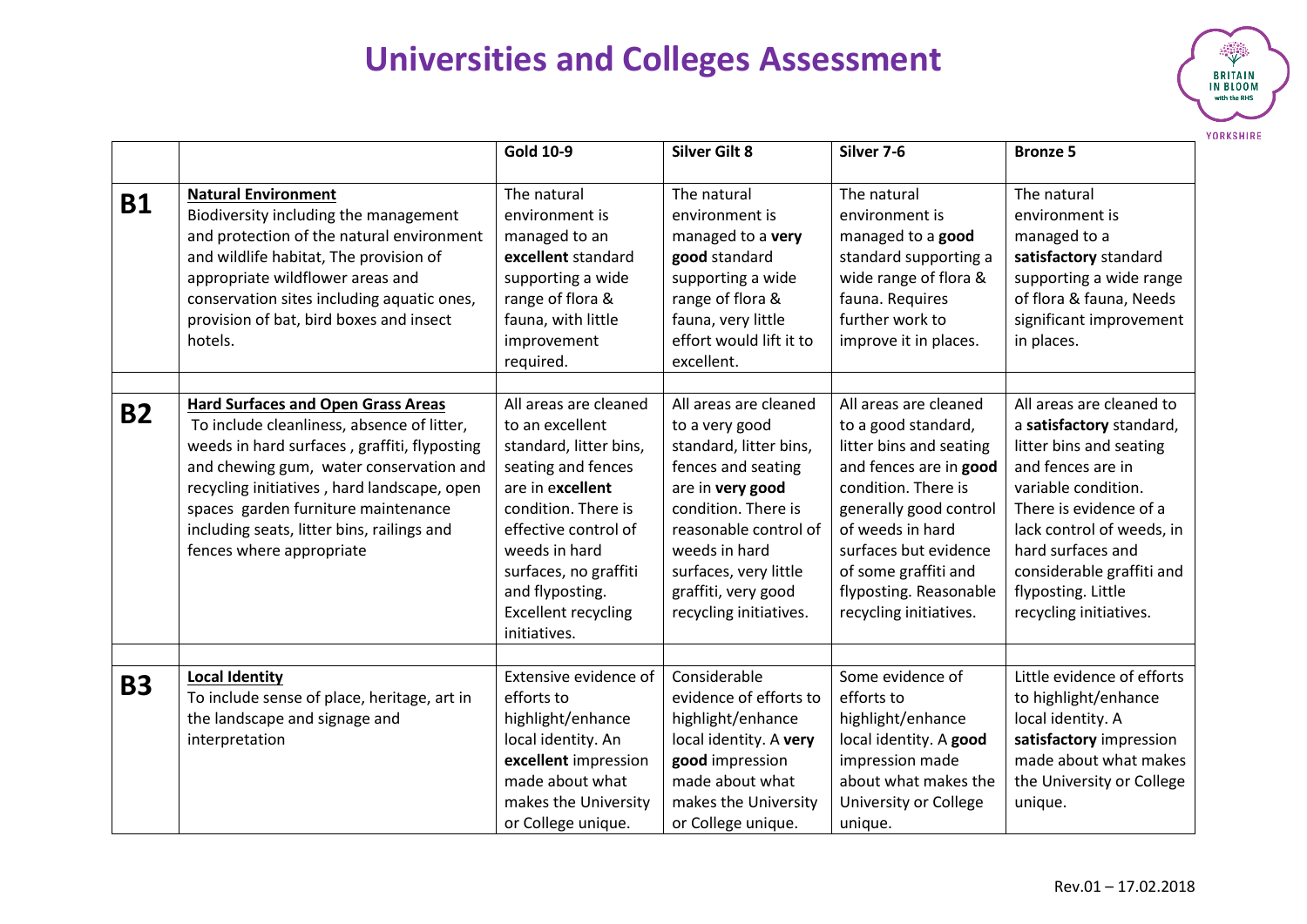

|           |                                                                                                                                                                                                                                                                                                                                                    | <b>Gold 10-9</b>                                                                                                                                                                                                                                                       | <b>Silver Gilt 8</b>                                                                                                                                                                                                                                   | Silver 7-6                                                                                                                                                                                                                                                                  | <b>Bronze 5</b>                                                                                                                                                                                                                                                                      |
|-----------|----------------------------------------------------------------------------------------------------------------------------------------------------------------------------------------------------------------------------------------------------------------------------------------------------------------------------------------------------|------------------------------------------------------------------------------------------------------------------------------------------------------------------------------------------------------------------------------------------------------------------------|--------------------------------------------------------------------------------------------------------------------------------------------------------------------------------------------------------------------------------------------------------|-----------------------------------------------------------------------------------------------------------------------------------------------------------------------------------------------------------------------------------------------------------------------------|--------------------------------------------------------------------------------------------------------------------------------------------------------------------------------------------------------------------------------------------------------------------------------------|
| <b>B1</b> | <b>Natural Environment</b><br>Biodiversity including the management<br>and protection of the natural environment<br>and wildlife habitat, The provision of<br>appropriate wildflower areas and<br>conservation sites including aquatic ones,<br>provision of bat, bird boxes and insect<br>hotels.                                                 | The natural<br>environment is<br>managed to an<br>excellent standard<br>supporting a wide<br>range of flora &<br>fauna, with little<br>improvement<br>required.                                                                                                        | The natural<br>environment is<br>managed to a very<br>good standard<br>supporting a wide<br>range of flora &<br>fauna, very little<br>effort would lift it to<br>excellent.                                                                            | The natural<br>environment is<br>managed to a good<br>standard supporting a<br>wide range of flora &<br>fauna. Requires<br>further work to<br>improve it in places.                                                                                                         | The natural<br>environment is<br>managed to a<br>satisfactory standard<br>supporting a wide range<br>of flora & fauna, Needs<br>significant improvement<br>in places.                                                                                                                |
| <b>B2</b> | <b>Hard Surfaces and Open Grass Areas</b><br>To include cleanliness, absence of litter,<br>weeds in hard surfaces, graffiti, flyposting<br>and chewing gum, water conservation and<br>recycling initiatives, hard landscape, open<br>spaces garden furniture maintenance<br>including seats, litter bins, railings and<br>fences where appropriate | All areas are cleaned<br>to an excellent<br>standard, litter bins,<br>seating and fences<br>are in excellent<br>condition. There is<br>effective control of<br>weeds in hard<br>surfaces, no graffiti<br>and flyposting.<br><b>Excellent recycling</b><br>initiatives. | All areas are cleaned<br>to a very good<br>standard, litter bins,<br>fences and seating<br>are in very good<br>condition. There is<br>reasonable control of<br>weeds in hard<br>surfaces, very little<br>graffiti, very good<br>recycling initiatives. | All areas are cleaned<br>to a good standard,<br>litter bins and seating<br>and fences are in good<br>condition. There is<br>generally good control<br>of weeds in hard<br>surfaces but evidence<br>of some graffiti and<br>flyposting. Reasonable<br>recycling initiatives. | All areas are cleaned to<br>a satisfactory standard,<br>litter bins and seating<br>and fences are in<br>variable condition.<br>There is evidence of a<br>lack control of weeds, in<br>hard surfaces and<br>considerable graffiti and<br>flyposting. Little<br>recycling initiatives. |
| <b>B3</b> | <b>Local Identity</b><br>To include sense of place, heritage, art in<br>the landscape and signage and<br>interpretation                                                                                                                                                                                                                            | Extensive evidence of<br>efforts to<br>highlight/enhance<br>local identity. An<br>excellent impression<br>made about what<br>makes the University<br>or College unique.                                                                                                | Considerable<br>evidence of efforts to<br>highlight/enhance<br>local identity. A very<br>good impression<br>made about what<br>makes the University<br>or College unique.                                                                              | Some evidence of<br>efforts to<br>highlight/enhance<br>local identity. A good<br>impression made<br>about what makes the<br>University or College<br>unique.                                                                                                                | Little evidence of efforts<br>to highlight/enhance<br>local identity. A<br>satisfactory impression<br>made about what makes<br>the University or College<br>unique.                                                                                                                  |